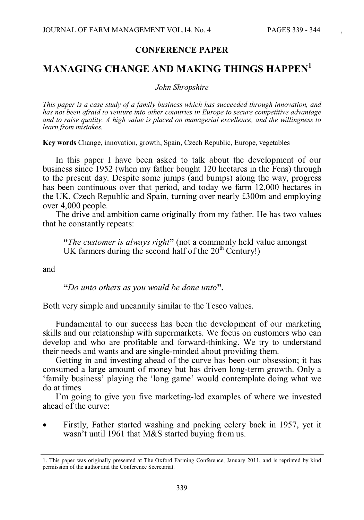## **CONFERENCE PAPER**

## **MANAGING CHANGE AND MAKING THINGS HAPPEN<sup>1</sup>**

*John Shropshire*

*This paper is a case study of a family business which has succeeded through innovation, and has not been afraid to venture into other countries in Europe to secure competitive advantage and to raise quality. A high value is placed on managerial excellence, and the willingness to learn from mistakes.*

**Key words** Change, innovation, growth, Spain, Czech Republic, Europe, vegetables

In this paper I have been asked to talk about the development of our business since 1952 (when my father bought 120 hectares in the Fens) through to the present day. Despite some jumps (and bumps) along the way, progress has been continuous over that period, and today we farm 12,000 hectares in the UK, Czech Republic and Spain, turning over nearly £300m and employing over 4,000 people.

The drive and ambition came originally from my father. He has two values that he constantly repeats:

**"***The customer is always right***"** (not a commonly held value amongst UK farmers during the second half of the  $20<sup>th</sup>$  Century!)

and

**"***Do unto others as you would be done unto***".**

Both very simple and uncannily similar to the Tesco values.

Fundamental to our success has been the development of our marketing skills and our relationship with supermarkets. We focus on customers who can develop and who are profitable and forward-thinking. We try to understand their needs and wants and are single-minded about providing them.

Getting in and investing ahead of the curve has been our obsession; it has consumed a large amount of money but has driven long-term growth. Only a 'family business' playing the 'long game' would contemplate doing what we do at times

I'm going to give you five marketing-led examples of where we invested ahead of the curve:

Firstly, Father started washing and packing celery back in 1957, yet it wasn't until 1961 that M&S started buying from us.

<sup>1.</sup> This paper was originally presented at The Oxford Farming Conference, January 2011, and is reprinted by kind permission of the author and the Conference Secretariat.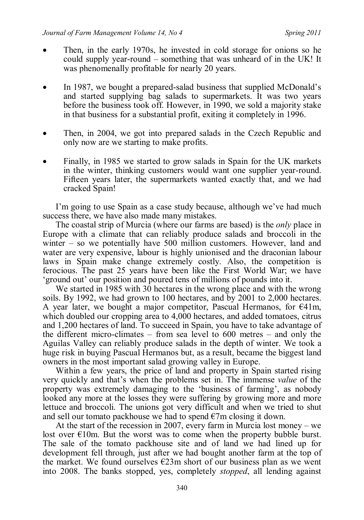- x Then, in the early 1970s, he invested in cold storage for onions so he could supply year-round – something that was unheard of in the UK! It was phenomenally profitable for nearly 20 years.
- In 1987, we bought a prepared-salad business that supplied McDonald's and started supplying bag salads to supermarkets. It was two years before the business took off. However, in 1990, we sold a majority stake in that business for a substantial profit, exiting it completely in 1996.
- x Then, in 2004, we got into prepared salads in the Czech Republic and only now are we starting to make profits.
- Finally, in 1985 we started to grow salads in Spain for the UK markets in the winter, thinking customers would want one supplier year-round. Fifteen years later, the supermarkets wanted exactly that, and we had cracked Spain!

I'm going to use Spain as a case study because, although we've had much success there, we have also made many mistakes.

The coastal strip of Murcia (where our farms are based) is the *only* place in Europe with a climate that can reliably produce salads and broccoli in the winter – so we potentially have 500 million customers. However, land and water are very expensive, labour is highly unionised and the draconian labour laws in Spain make change extremely costly. Also, the competition is ferocious. The past 25 years have been like the First World War; we have 'ground out' our position and poured tens of millions of pounds into it.

We started in 1985 with 30 hectares in the wrong place and with the wrong soils. By 1992, we had grown to 100 hectares, and by 2001 to 2,000 hectares. A year later, we bought a major competitor, Pascual Hermanos, for  $\epsilon 41m$ , which doubled our cropping area to 4,000 hectares, and added tomatoes, citrus and 1,200 hectares of land. To succeed in Spain, you have to take advantage of the different micro-climates – from sea level to 600 metres – and only the Aguilas Valley can reliably produce salads in the depth of winter. We took a huge risk in buying Pascual Hermanos but, as a result, became the biggest land owners in the most important salad growing valley in Europe.

Within a few years, the price of land and property in Spain started rising very quickly and that's when the problems set in. The immense *value* of the property was extremely damaging to the 'business of farming', as nobody looked any more at the losses they were suffering by growing more and more lettuce and broccoli. The unions got very difficult and when we tried to shut and sell our tomato packhouse we had to spend  $\epsilon$ 7m closing it down.

At the start of the recession in 2007, every farm in Murcia lost money – we lost over  $\epsilon$ 10m. But the worst was to come when the property bubble burst. The sale of the tomato packhouse site and of land we had lined up for development fell through, just after we had bought another farm at the top of the market. We found ourselves  $\epsilon$ 23m short of our business plan as we went into 2008. The banks stopped, yes, completely *stopped*, all lending against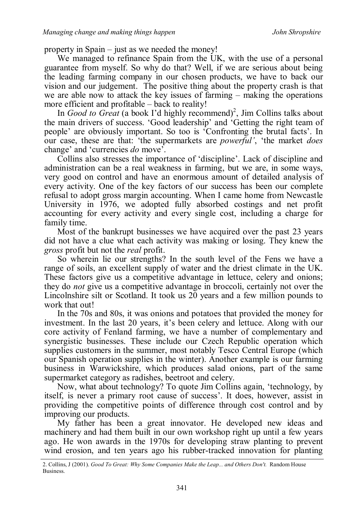property in Spain – just as we needed the money!

We managed to refinance Spain from the UK, with the use of a personal guarantee from myself. So why do that? Well, if we are serious about being the leading farming company in our chosen products, we have to back our vision and our judgement. The positive thing about the property crash is that we are able now to attack the key issues of farming – making the operations more efficient and profitable – back to reality!

In *Good to Great* (a book I'd highly recommend)<sup>2</sup>, Jim Collins talks about the main drivers of success. 'Good leadership' and 'Getting the right team of people' are obviously important. So too is 'Confronting the brutal facts'. In our case, these are that: 'the supermarkets are *powerful'*, 'the market *does* change' and 'currencies *do* move'.

Collins also stresses the importance of 'discipline'. Lack of discipline and administration can be a real weakness in farming, but we are, in some ways, very good on control and have an enormous amount of detailed analysis of every activity. One of the key factors of our success has been our complete refusal to adopt gross margin accounting. When I came home from Newcastle University in 1976, we adopted fully absorbed costings and net profit accounting for every activity and every single cost, including a charge for family time.

Most of the bankrupt businesses we have acquired over the past 23 years did not have a clue what each activity was making or losing. They knew the *gross* profit but not the *real* profit.

So wherein lie our strengths? In the south level of the Fens we have a range of soils, an excellent supply of water and the driest climate in the UK. These factors give us a competitive advantage in lettuce, celery and onions; they do *not* give us a competitive advantage in broccoli, certainly not over the Lincolnshire silt or Scotland. It took us 20 years and a few million pounds to work that out!

In the 70s and 80s, it was onions and potatoes that provided the money for investment. In the last 20 years, it's been celery and lettuce. Along with our core activity of Fenland farming, we have a number of complementary and synergistic businesses. These include our Czech Republic operation which supplies customers in the summer, most notably Tesco Central Europe (which our Spanish operation supplies in the winter). Another example is our farming business in Warwickshire, which produces salad onions, part of the same supermarket category as radishes, beetroot and celery.

Now, what about technology? To quote Jim Collins again, 'technology, by itself, is never a primary root cause of success'. It does, however, assist in providing the competitive points of difference through cost control and by improving our products.

My father has been a great innovator. He developed new ideas and machinery and had them built in our own workshop right up until a few years ago. He won awards in the 1970s for developing straw planting to prevent wind erosion, and ten years ago his rubber-tracked innovation for planting

<sup>2.</sup> Collins, J (2001). *Good To Great: Why Some Companies Make the Leap... and Others Don't.* Random House Business.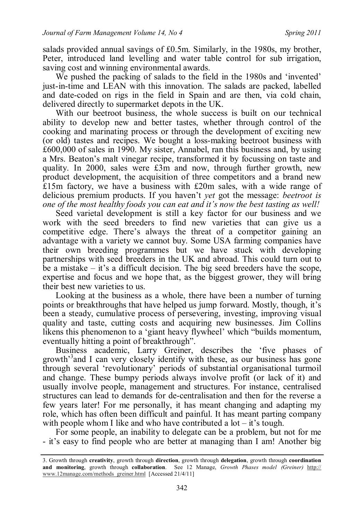salads provided annual savings of £0.5m. Similarly, in the 1980s, my brother, Peter, introduced land levelling and water table control for sub irrigation, saving cost and winning environmental awards.

We pushed the packing of salads to the field in the 1980s and 'invented' just-in-time and LEAN with this innovation. The salads are packed, labelled and date-coded on rigs in the field in Spain and are then, via cold chain, delivered directly to supermarket depots in the UK.

With our beetroot business, the whole success is built on our technical ability to develop new and better tastes, whether through control of the cooking and marinating process or through the development of exciting new (or old) tastes and recipes. We bought a loss-making beetroot business with £600,000 of sales in 1990. My sister, Annabel, ran this business and, by using a Mrs. Beaton's malt vinegar recipe, transformed it by focussing on taste and quality. In 2000, sales were £3m and now, through further growth, new product development, the acquisition of three competitors and a brand new £15m factory, we have a business with £20m sales, with a wide range of delicious premium products. If you haven't *yet* got the message: *beetroot is one of the most healthy foods you can eat and it's now the best tasting as well!*

Seed varietal development is still a key factor for our business and we work with the seed breeders to find new varieties that can give us a competitive edge. There's always the threat of a competitor gaining an advantage with a variety we cannot buy. Some USA farming companies have their own breeding programmes but we have stuck with developing partnerships with seed breeders in the UK and abroad. This could turn out to be a mistake – it's a difficult decision. The big seed breeders have the scope, expertise and focus and we hope that, as the biggest grower, they will bring their best new varieties to us.

Looking at the business as a whole, there have been a number of turning points or breakthroughs that have helped us jump forward. Mostly, though, it's been a steady, cumulative process of persevering, investing, improving visual quality and taste, cutting costs and acquiring new businesses. Jim Collins likens this phenomenon to a 'giant heavy flywheel' which "builds momentum, eventually hitting a point of breakthrough".

Business academic, Larry Greiner, describes the 'five phases of growth<sup>33</sup> and I can very closely identify with these, as our business has gone through several 'revolutionary' periods of substantial organisational turmoil and change. These bumpy periods always involve profit (or lack of it) and usually involve people, management and structures. For instance, centralised structures can lead to demands for de-centralisation and then for the reverse a few years later! For me personally, it has meant changing and adapting my role, which has often been difficult and painful. It has meant parting company with people whom I like and who have contributed a  $\text{lot} - \text{it's tough}$ .

For some people, an inability to delegate can be a problem, but not for me - it's easy to find people who are better at managing than I am! Another big

<sup>3.</sup> Growth through **creativity**, growth through **direction**, growth through **delegation**, growth through **coordination and monitoring**, growth through **collaboration**. See 12 Manage, *Growth Phases model (Greiner)* http:// www.12manage.com/methods\_greiner.html [Accessed 21/4/11]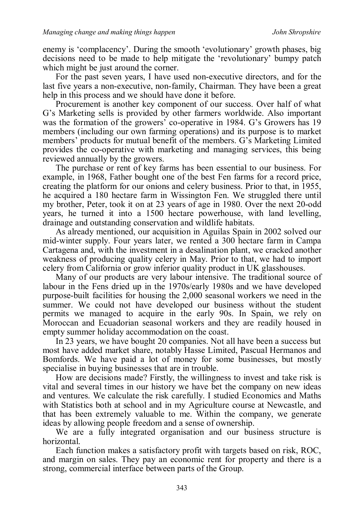enemy is 'complacency'. During the smooth 'evolutionary' growth phases, big decisions need to be made to help mitigate the 'revolutionary' bumpy patch which might be just around the corner.

For the past seven years, I have used non-executive directors, and for the last five years a non-executive, non-family, Chairman. They have been a great help in this process and we should have done it before.

Procurement is another key component of our success. Over half of what G's Marketing sells is provided by other farmers worldwide. Also important was the formation of the growers' co-operative in 1984. G's Growers has 19 members (including our own farming operations) and its purpose is to market members' products for mutual benefit of the members. G's Marketing Limited provides the co-operative with marketing and managing services, this being reviewed annually by the growers.

The purchase or rent of key farms has been essential to our business. For example, in 1968, Father bought one of the best Fen farms for a record price, creating the platform for our onions and celery business. Prior to that, in 1955, he acquired a 180 hectare farm in Wissington Fen. We struggled there until my brother, Peter, took it on at 23 years of age in 1980. Over the next 20-odd years, he turned it into a 1500 hectare powerhouse, with land levelling, drainage and outstanding conservation and wildlife habitats.

As already mentioned, our acquisition in Aguilas Spain in 2002 solved our mid-winter supply. Four years later, we rented a 300 hectare farm in Campa Cartagena and, with the investment in a desalination plant, we cracked another weakness of producing quality celery in May. Prior to that, we had to import celery from California or grow inferior quality product in UK glasshouses.

Many of our products are very labour intensive. The traditional source of labour in the Fens dried up in the 1970s/early 1980s and we have developed purpose-built facilities for housing the 2,000 seasonal workers we need in the summer. We could not have developed our business without the student permits we managed to acquire in the early 90s. In Spain, we rely on Moroccan and Ecuadorian seasonal workers and they are readily housed in empty summer holiday accommodation on the coast.

In 23 years, we have bought 20 companies. Not all have been a success but most have added market share, notably Hasse Limited, Pascual Hermanos and Bomfords. We have paid a lot of money for some businesses, but mostly specialise in buying businesses that are in trouble.

How are decisions made? Firstly, the willingness to invest and take risk is vital and several times in our history we have bet the company on new ideas and ventures. We calculate the risk carefully. I studied Economics and Maths with Statistics both at school and in my Agriculture course at Newcastle, and that has been extremely valuable to me. Within the company, we generate ideas by allowing people freedom and a sense of ownership.

We are a fully integrated organisation and our business structure is horizontal.

Each function makes a satisfactory profit with targets based on risk, ROC, and margin on sales. They pay an economic rent for property and there is a strong, commercial interface between parts of the Group.